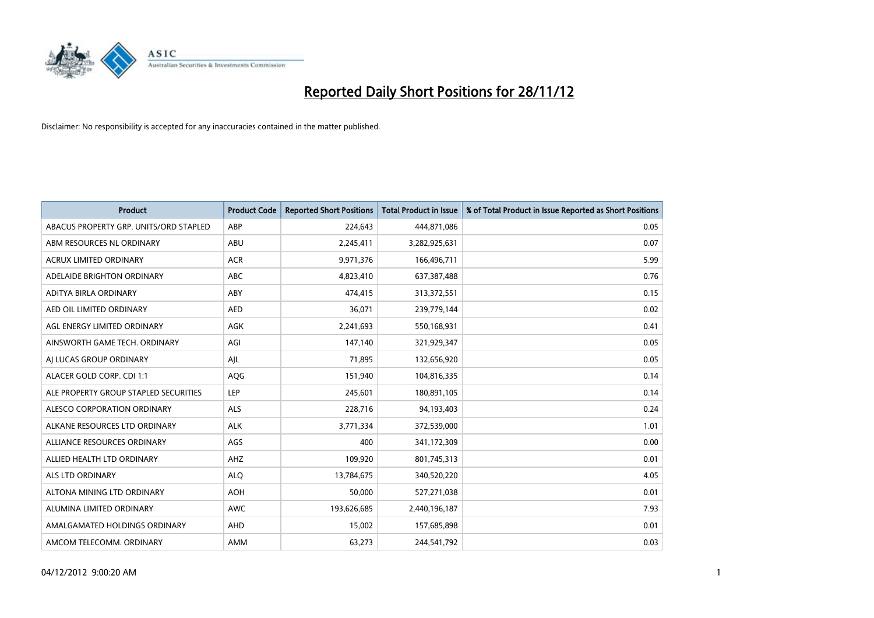

| <b>Product</b>                         | <b>Product Code</b> | <b>Reported Short Positions</b> | <b>Total Product in Issue</b> | % of Total Product in Issue Reported as Short Positions |
|----------------------------------------|---------------------|---------------------------------|-------------------------------|---------------------------------------------------------|
| ABACUS PROPERTY GRP. UNITS/ORD STAPLED | ABP                 | 224,643                         | 444,871,086                   | 0.05                                                    |
| ABM RESOURCES NL ORDINARY              | ABU                 | 2,245,411                       | 3,282,925,631                 | 0.07                                                    |
| <b>ACRUX LIMITED ORDINARY</b>          | <b>ACR</b>          | 9,971,376                       | 166,496,711                   | 5.99                                                    |
| ADELAIDE BRIGHTON ORDINARY             | <b>ABC</b>          | 4,823,410                       | 637,387,488                   | 0.76                                                    |
| ADITYA BIRLA ORDINARY                  | ABY                 | 474,415                         | 313,372,551                   | 0.15                                                    |
| AED OIL LIMITED ORDINARY               | <b>AED</b>          | 36,071                          | 239,779,144                   | 0.02                                                    |
| AGL ENERGY LIMITED ORDINARY            | AGK                 | 2,241,693                       | 550,168,931                   | 0.41                                                    |
| AINSWORTH GAME TECH. ORDINARY          | AGI                 | 147,140                         | 321,929,347                   | 0.05                                                    |
| AI LUCAS GROUP ORDINARY                | AJL                 | 71,895                          | 132,656,920                   | 0.05                                                    |
| ALACER GOLD CORP. CDI 1:1              | AQG                 | 151,940                         | 104,816,335                   | 0.14                                                    |
| ALE PROPERTY GROUP STAPLED SECURITIES  | LEP                 | 245,601                         | 180,891,105                   | 0.14                                                    |
| ALESCO CORPORATION ORDINARY            | <b>ALS</b>          | 228,716                         | 94,193,403                    | 0.24                                                    |
| ALKANE RESOURCES LTD ORDINARY          | <b>ALK</b>          | 3,771,334                       | 372,539,000                   | 1.01                                                    |
| ALLIANCE RESOURCES ORDINARY            | <b>AGS</b>          | 400                             | 341,172,309                   | 0.00                                                    |
| ALLIED HEALTH LTD ORDINARY             | AHZ                 | 109,920                         | 801,745,313                   | 0.01                                                    |
| ALS LTD ORDINARY                       | <b>ALQ</b>          | 13,784,675                      | 340,520,220                   | 4.05                                                    |
| ALTONA MINING LTD ORDINARY             | <b>AOH</b>          | 50,000                          | 527,271,038                   | 0.01                                                    |
| ALUMINA LIMITED ORDINARY               | <b>AWC</b>          | 193,626,685                     | 2,440,196,187                 | 7.93                                                    |
| AMALGAMATED HOLDINGS ORDINARY          | <b>AHD</b>          | 15,002                          | 157,685,898                   | 0.01                                                    |
| AMCOM TELECOMM. ORDINARY               | <b>AMM</b>          | 63,273                          | 244,541,792                   | 0.03                                                    |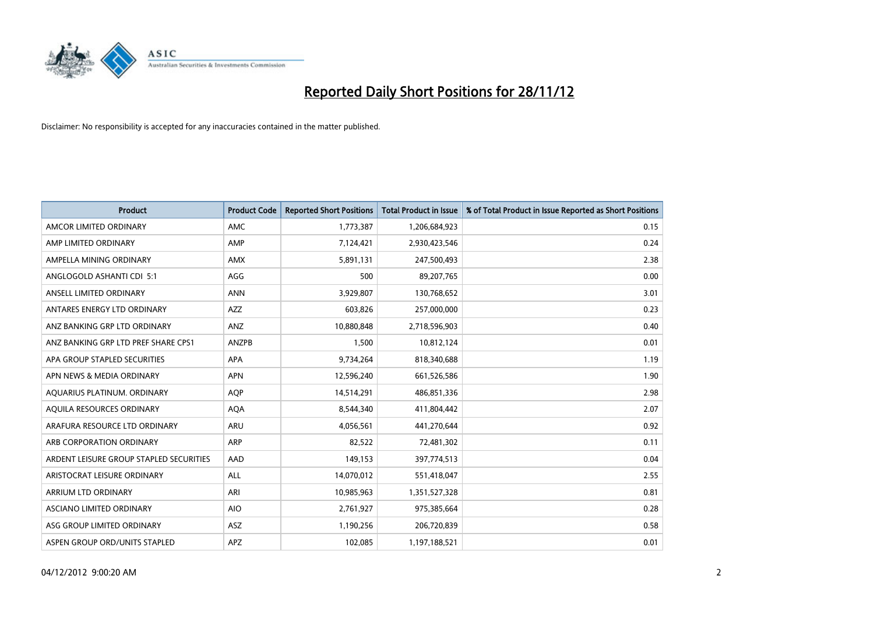

| <b>Product</b>                          | <b>Product Code</b> | <b>Reported Short Positions</b> | <b>Total Product in Issue</b> | % of Total Product in Issue Reported as Short Positions |
|-----------------------------------------|---------------------|---------------------------------|-------------------------------|---------------------------------------------------------|
| AMCOR LIMITED ORDINARY                  | <b>AMC</b>          | 1,773,387                       | 1,206,684,923                 | 0.15                                                    |
| AMP LIMITED ORDINARY                    | AMP                 | 7,124,421                       | 2,930,423,546                 | 0.24                                                    |
| AMPELLA MINING ORDINARY                 | <b>AMX</b>          | 5,891,131                       | 247,500,493                   | 2.38                                                    |
| ANGLOGOLD ASHANTI CDI 5:1               | AGG                 | 500                             | 89,207,765                    | 0.00                                                    |
| ANSELL LIMITED ORDINARY                 | <b>ANN</b>          | 3,929,807                       | 130,768,652                   | 3.01                                                    |
| ANTARES ENERGY LTD ORDINARY             | <b>AZZ</b>          | 603,826                         | 257,000,000                   | 0.23                                                    |
| ANZ BANKING GRP LTD ORDINARY            | <b>ANZ</b>          | 10,880,848                      | 2,718,596,903                 | 0.40                                                    |
| ANZ BANKING GRP LTD PREF SHARE CPS1     | ANZPB               | 1,500                           | 10,812,124                    | 0.01                                                    |
| APA GROUP STAPLED SECURITIES            | <b>APA</b>          | 9,734,264                       | 818,340,688                   | 1.19                                                    |
| APN NEWS & MEDIA ORDINARY               | <b>APN</b>          | 12,596,240                      | 661,526,586                   | 1.90                                                    |
| AQUARIUS PLATINUM. ORDINARY             | <b>AOP</b>          | 14,514,291                      | 486,851,336                   | 2.98                                                    |
| AQUILA RESOURCES ORDINARY               | <b>AQA</b>          | 8,544,340                       | 411,804,442                   | 2.07                                                    |
| ARAFURA RESOURCE LTD ORDINARY           | ARU                 | 4,056,561                       | 441,270,644                   | 0.92                                                    |
| ARB CORPORATION ORDINARY                | <b>ARP</b>          | 82,522                          | 72,481,302                    | 0.11                                                    |
| ARDENT LEISURE GROUP STAPLED SECURITIES | AAD                 | 149,153                         | 397,774,513                   | 0.04                                                    |
| ARISTOCRAT LEISURE ORDINARY             | ALL                 | 14,070,012                      | 551,418,047                   | 2.55                                                    |
| ARRIUM LTD ORDINARY                     | ARI                 | 10,985,963                      | 1,351,527,328                 | 0.81                                                    |
| ASCIANO LIMITED ORDINARY                | <b>AIO</b>          | 2,761,927                       | 975,385,664                   | 0.28                                                    |
| ASG GROUP LIMITED ORDINARY              | <b>ASZ</b>          | 1,190,256                       | 206,720,839                   | 0.58                                                    |
| ASPEN GROUP ORD/UNITS STAPLED           | APZ                 | 102,085                         | 1,197,188,521                 | 0.01                                                    |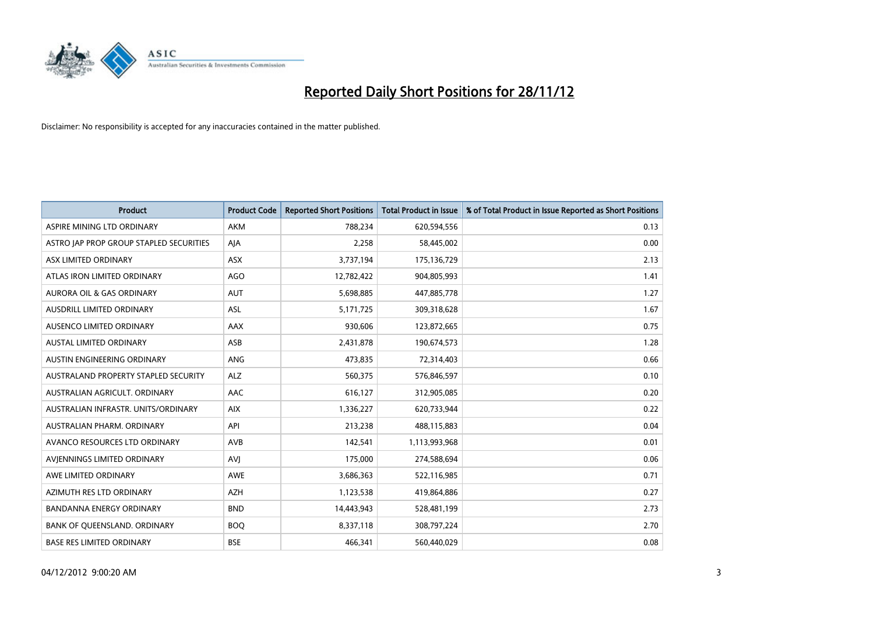

| <b>Product</b>                          | <b>Product Code</b> | <b>Reported Short Positions</b> | <b>Total Product in Issue</b> | % of Total Product in Issue Reported as Short Positions |
|-----------------------------------------|---------------------|---------------------------------|-------------------------------|---------------------------------------------------------|
| ASPIRE MINING LTD ORDINARY              | <b>AKM</b>          | 788,234                         | 620,594,556                   | 0.13                                                    |
| ASTRO JAP PROP GROUP STAPLED SECURITIES | AJA                 | 2,258                           | 58,445,002                    | 0.00                                                    |
| ASX LIMITED ORDINARY                    | <b>ASX</b>          | 3,737,194                       | 175,136,729                   | 2.13                                                    |
| ATLAS IRON LIMITED ORDINARY             | AGO                 | 12,782,422                      | 904,805,993                   | 1.41                                                    |
| <b>AURORA OIL &amp; GAS ORDINARY</b>    | <b>AUT</b>          | 5,698,885                       | 447,885,778                   | 1.27                                                    |
| AUSDRILL LIMITED ORDINARY               | <b>ASL</b>          | 5,171,725                       | 309,318,628                   | 1.67                                                    |
| AUSENCO LIMITED ORDINARY                | AAX                 | 930,606                         | 123,872,665                   | 0.75                                                    |
| <b>AUSTAL LIMITED ORDINARY</b>          | ASB                 | 2,431,878                       | 190,674,573                   | 1.28                                                    |
| AUSTIN ENGINEERING ORDINARY             | <b>ANG</b>          | 473,835                         | 72,314,403                    | 0.66                                                    |
| AUSTRALAND PROPERTY STAPLED SECURITY    | <b>ALZ</b>          | 560,375                         | 576,846,597                   | 0.10                                                    |
| AUSTRALIAN AGRICULT. ORDINARY           | <b>AAC</b>          | 616,127                         | 312,905,085                   | 0.20                                                    |
| AUSTRALIAN INFRASTR, UNITS/ORDINARY     | <b>AIX</b>          | 1,336,227                       | 620,733,944                   | 0.22                                                    |
| AUSTRALIAN PHARM. ORDINARY              | API                 | 213,238                         | 488,115,883                   | 0.04                                                    |
| AVANCO RESOURCES LTD ORDINARY           | AVB                 | 142,541                         | 1,113,993,968                 | 0.01                                                    |
| AVIENNINGS LIMITED ORDINARY             | AVI                 | 175,000                         | 274,588,694                   | 0.06                                                    |
| AWE LIMITED ORDINARY                    | <b>AWE</b>          | 3,686,363                       | 522,116,985                   | 0.71                                                    |
| AZIMUTH RES LTD ORDINARY                | <b>AZH</b>          | 1,123,538                       | 419,864,886                   | 0.27                                                    |
| BANDANNA ENERGY ORDINARY                | <b>BND</b>          | 14,443,943                      | 528,481,199                   | 2.73                                                    |
| BANK OF QUEENSLAND. ORDINARY            | <b>BOQ</b>          | 8,337,118                       | 308,797,224                   | 2.70                                                    |
| <b>BASE RES LIMITED ORDINARY</b>        | <b>BSE</b>          | 466,341                         | 560,440,029                   | 0.08                                                    |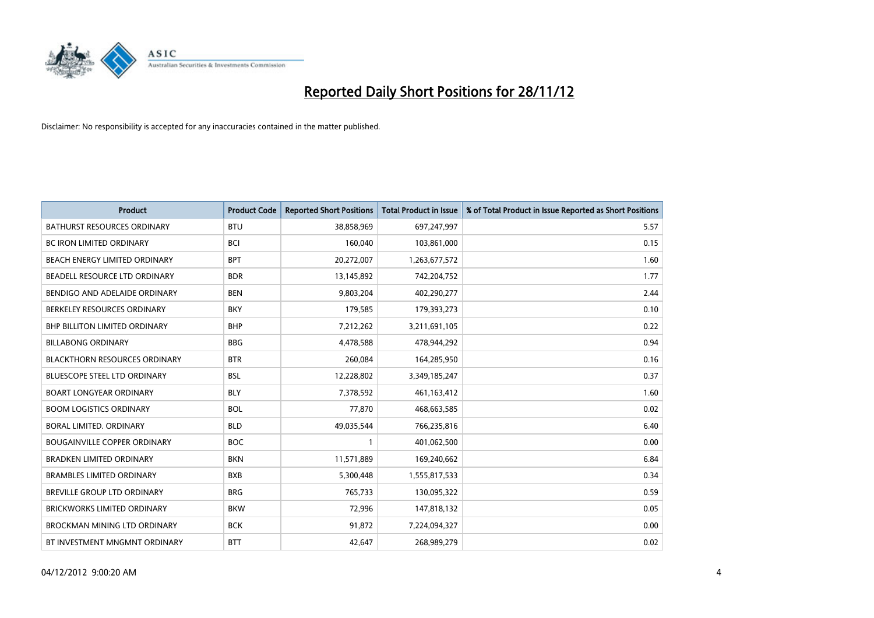

| <b>Product</b>                       | <b>Product Code</b> | <b>Reported Short Positions</b> | <b>Total Product in Issue</b> | % of Total Product in Issue Reported as Short Positions |
|--------------------------------------|---------------------|---------------------------------|-------------------------------|---------------------------------------------------------|
| <b>BATHURST RESOURCES ORDINARY</b>   | <b>BTU</b>          | 38,858,969                      | 697,247,997                   | 5.57                                                    |
| BC IRON LIMITED ORDINARY             | <b>BCI</b>          | 160,040                         | 103,861,000                   | 0.15                                                    |
| <b>BEACH ENERGY LIMITED ORDINARY</b> | <b>BPT</b>          | 20,272,007                      | 1,263,677,572                 | 1.60                                                    |
| BEADELL RESOURCE LTD ORDINARY        | <b>BDR</b>          | 13,145,892                      | 742,204,752                   | 1.77                                                    |
| BENDIGO AND ADELAIDE ORDINARY        | <b>BEN</b>          | 9,803,204                       | 402,290,277                   | 2.44                                                    |
| BERKELEY RESOURCES ORDINARY          | <b>BKY</b>          | 179,585                         | 179,393,273                   | 0.10                                                    |
| <b>BHP BILLITON LIMITED ORDINARY</b> | <b>BHP</b>          | 7,212,262                       | 3,211,691,105                 | 0.22                                                    |
| <b>BILLABONG ORDINARY</b>            | <b>BBG</b>          | 4,478,588                       | 478,944,292                   | 0.94                                                    |
| <b>BLACKTHORN RESOURCES ORDINARY</b> | <b>BTR</b>          | 260,084                         | 164,285,950                   | 0.16                                                    |
| <b>BLUESCOPE STEEL LTD ORDINARY</b>  | <b>BSL</b>          | 12,228,802                      | 3,349,185,247                 | 0.37                                                    |
| <b>BOART LONGYEAR ORDINARY</b>       | <b>BLY</b>          | 7,378,592                       | 461,163,412                   | 1.60                                                    |
| <b>BOOM LOGISTICS ORDINARY</b>       | <b>BOL</b>          | 77,870                          | 468,663,585                   | 0.02                                                    |
| <b>BORAL LIMITED, ORDINARY</b>       | <b>BLD</b>          | 49,035,544                      | 766,235,816                   | 6.40                                                    |
| <b>BOUGAINVILLE COPPER ORDINARY</b>  | <b>BOC</b>          |                                 | 401,062,500                   | 0.00                                                    |
| <b>BRADKEN LIMITED ORDINARY</b>      | <b>BKN</b>          | 11,571,889                      | 169,240,662                   | 6.84                                                    |
| <b>BRAMBLES LIMITED ORDINARY</b>     | <b>BXB</b>          | 5,300,448                       | 1,555,817,533                 | 0.34                                                    |
| <b>BREVILLE GROUP LTD ORDINARY</b>   | <b>BRG</b>          | 765,733                         | 130,095,322                   | 0.59                                                    |
| <b>BRICKWORKS LIMITED ORDINARY</b>   | <b>BKW</b>          | 72,996                          | 147,818,132                   | 0.05                                                    |
| BROCKMAN MINING LTD ORDINARY         | <b>BCK</b>          | 91,872                          | 7,224,094,327                 | 0.00                                                    |
| BT INVESTMENT MNGMNT ORDINARY        | <b>BTT</b>          | 42.647                          | 268,989,279                   | 0.02                                                    |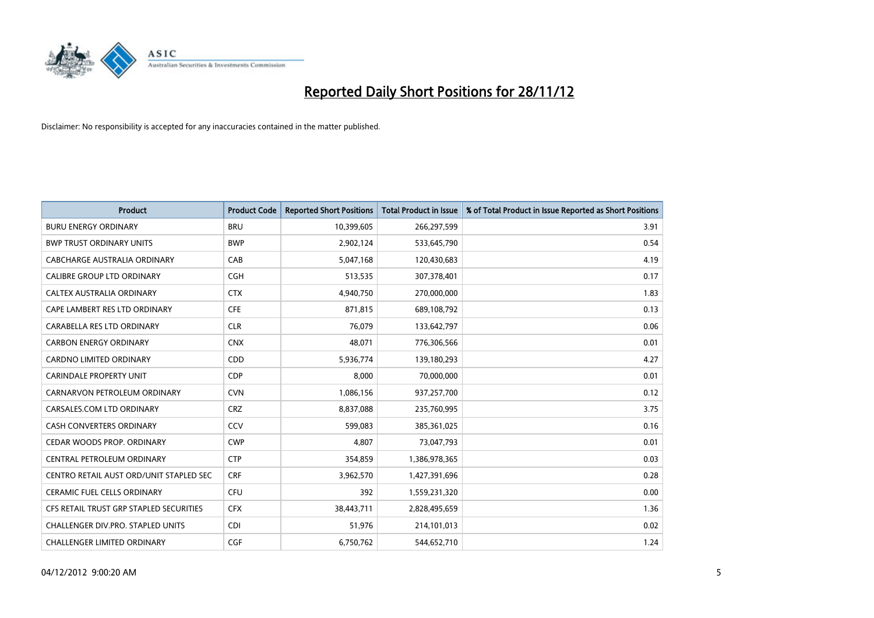

| <b>Product</b>                          | <b>Product Code</b> | <b>Reported Short Positions</b> | <b>Total Product in Issue</b> | % of Total Product in Issue Reported as Short Positions |
|-----------------------------------------|---------------------|---------------------------------|-------------------------------|---------------------------------------------------------|
| <b>BURU ENERGY ORDINARY</b>             | <b>BRU</b>          | 10,399,605                      | 266,297,599                   | 3.91                                                    |
| <b>BWP TRUST ORDINARY UNITS</b>         | <b>BWP</b>          | 2,902,124                       | 533,645,790                   | 0.54                                                    |
| CABCHARGE AUSTRALIA ORDINARY            | CAB                 | 5,047,168                       | 120,430,683                   | 4.19                                                    |
| CALIBRE GROUP LTD ORDINARY              | <b>CGH</b>          | 513,535                         | 307,378,401                   | 0.17                                                    |
| <b>CALTEX AUSTRALIA ORDINARY</b>        | <b>CTX</b>          | 4,940,750                       | 270,000,000                   | 1.83                                                    |
| CAPE LAMBERT RES LTD ORDINARY           | <b>CFE</b>          | 871,815                         | 689,108,792                   | 0.13                                                    |
| CARABELLA RES LTD ORDINARY              | <b>CLR</b>          | 76.079                          | 133,642,797                   | 0.06                                                    |
| <b>CARBON ENERGY ORDINARY</b>           | <b>CNX</b>          | 48.071                          | 776,306,566                   | 0.01                                                    |
| CARDNO LIMITED ORDINARY                 | CDD                 | 5,936,774                       | 139,180,293                   | 4.27                                                    |
| <b>CARINDALE PROPERTY UNIT</b>          | <b>CDP</b>          | 8,000                           | 70,000,000                    | 0.01                                                    |
| CARNARVON PETROLEUM ORDINARY            | <b>CVN</b>          | 1,086,156                       | 937,257,700                   | 0.12                                                    |
| CARSALES.COM LTD ORDINARY               | <b>CRZ</b>          | 8,837,088                       | 235,760,995                   | 3.75                                                    |
| <b>CASH CONVERTERS ORDINARY</b>         | CCV                 | 599,083                         | 385,361,025                   | 0.16                                                    |
| CEDAR WOODS PROP. ORDINARY              | <b>CWP</b>          | 4,807                           | 73,047,793                    | 0.01                                                    |
| CENTRAL PETROLEUM ORDINARY              | <b>CTP</b>          | 354,859                         | 1,386,978,365                 | 0.03                                                    |
| CENTRO RETAIL AUST ORD/UNIT STAPLED SEC | <b>CRF</b>          | 3,962,570                       | 1,427,391,696                 | 0.28                                                    |
| <b>CERAMIC FUEL CELLS ORDINARY</b>      | <b>CFU</b>          | 392                             | 1,559,231,320                 | 0.00                                                    |
| CFS RETAIL TRUST GRP STAPLED SECURITIES | <b>CFX</b>          | 38,443,711                      | 2,828,495,659                 | 1.36                                                    |
| CHALLENGER DIV.PRO. STAPLED UNITS       | <b>CDI</b>          | 51,976                          | 214,101,013                   | 0.02                                                    |
| <b>CHALLENGER LIMITED ORDINARY</b>      | <b>CGF</b>          | 6,750,762                       | 544,652,710                   | 1.24                                                    |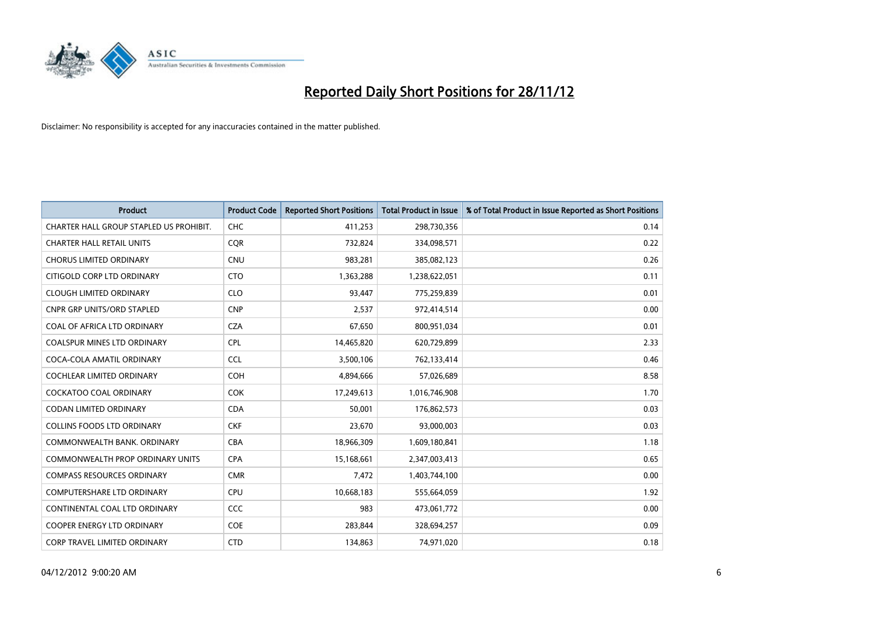

| <b>Product</b>                          | <b>Product Code</b> | <b>Reported Short Positions</b> | <b>Total Product in Issue</b> | % of Total Product in Issue Reported as Short Positions |
|-----------------------------------------|---------------------|---------------------------------|-------------------------------|---------------------------------------------------------|
| CHARTER HALL GROUP STAPLED US PROHIBIT. | <b>CHC</b>          | 411,253                         | 298,730,356                   | 0.14                                                    |
| <b>CHARTER HALL RETAIL UNITS</b>        | <b>CQR</b>          | 732,824                         | 334,098,571                   | 0.22                                                    |
| <b>CHORUS LIMITED ORDINARY</b>          | <b>CNU</b>          | 983,281                         | 385,082,123                   | 0.26                                                    |
| CITIGOLD CORP LTD ORDINARY              | <b>CTO</b>          | 1,363,288                       | 1,238,622,051                 | 0.11                                                    |
| <b>CLOUGH LIMITED ORDINARY</b>          | <b>CLO</b>          | 93,447                          | 775,259,839                   | 0.01                                                    |
| <b>CNPR GRP UNITS/ORD STAPLED</b>       | <b>CNP</b>          | 2,537                           | 972,414,514                   | 0.00                                                    |
| COAL OF AFRICA LTD ORDINARY             | <b>CZA</b>          | 67,650                          | 800,951,034                   | 0.01                                                    |
| <b>COALSPUR MINES LTD ORDINARY</b>      | <b>CPL</b>          | 14,465,820                      | 620,729,899                   | 2.33                                                    |
| COCA-COLA AMATIL ORDINARY               | <b>CCL</b>          | 3,500,106                       | 762,133,414                   | 0.46                                                    |
| <b>COCHLEAR LIMITED ORDINARY</b>        | <b>COH</b>          | 4,894,666                       | 57,026,689                    | 8.58                                                    |
| <b>COCKATOO COAL ORDINARY</b>           | <b>COK</b>          | 17,249,613                      | 1,016,746,908                 | 1.70                                                    |
| CODAN LIMITED ORDINARY                  | <b>CDA</b>          | 50,001                          | 176,862,573                   | 0.03                                                    |
| <b>COLLINS FOODS LTD ORDINARY</b>       | <b>CKF</b>          | 23,670                          | 93,000,003                    | 0.03                                                    |
| COMMONWEALTH BANK, ORDINARY             | <b>CBA</b>          | 18,966,309                      | 1,609,180,841                 | 1.18                                                    |
| <b>COMMONWEALTH PROP ORDINARY UNITS</b> | <b>CPA</b>          | 15,168,661                      | 2,347,003,413                 | 0.65                                                    |
| <b>COMPASS RESOURCES ORDINARY</b>       | <b>CMR</b>          | 7,472                           | 1,403,744,100                 | 0.00                                                    |
| COMPUTERSHARE LTD ORDINARY              | <b>CPU</b>          | 10,668,183                      | 555,664,059                   | 1.92                                                    |
| CONTINENTAL COAL LTD ORDINARY           | CCC                 | 983                             | 473,061,772                   | 0.00                                                    |
| <b>COOPER ENERGY LTD ORDINARY</b>       | <b>COE</b>          | 283,844                         | 328,694,257                   | 0.09                                                    |
| CORP TRAVEL LIMITED ORDINARY            | <b>CTD</b>          | 134,863                         | 74,971,020                    | 0.18                                                    |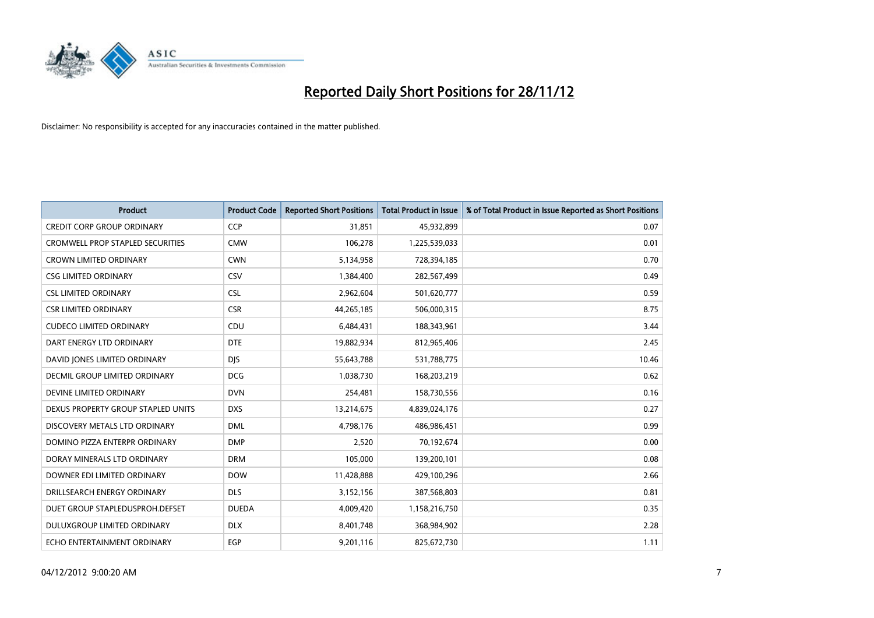

| <b>Product</b>                          | <b>Product Code</b> | <b>Reported Short Positions</b> | <b>Total Product in Issue</b> | % of Total Product in Issue Reported as Short Positions |
|-----------------------------------------|---------------------|---------------------------------|-------------------------------|---------------------------------------------------------|
| <b>CREDIT CORP GROUP ORDINARY</b>       | <b>CCP</b>          | 31,851                          | 45,932,899                    | 0.07                                                    |
| <b>CROMWELL PROP STAPLED SECURITIES</b> | <b>CMW</b>          | 106,278                         | 1,225,539,033                 | 0.01                                                    |
| <b>CROWN LIMITED ORDINARY</b>           | <b>CWN</b>          | 5,134,958                       | 728,394,185                   | 0.70                                                    |
| <b>CSG LIMITED ORDINARY</b>             | CSV                 | 1,384,400                       | 282,567,499                   | 0.49                                                    |
| <b>CSL LIMITED ORDINARY</b>             | <b>CSL</b>          | 2,962,604                       | 501,620,777                   | 0.59                                                    |
| <b>CSR LIMITED ORDINARY</b>             | <b>CSR</b>          | 44,265,185                      | 506,000,315                   | 8.75                                                    |
| <b>CUDECO LIMITED ORDINARY</b>          | CDU                 | 6,484,431                       | 188,343,961                   | 3.44                                                    |
| DART ENERGY LTD ORDINARY                | <b>DTE</b>          | 19,882,934                      | 812,965,406                   | 2.45                                                    |
| DAVID JONES LIMITED ORDINARY            | <b>DIS</b>          | 55,643,788                      | 531,788,775                   | 10.46                                                   |
| DECMIL GROUP LIMITED ORDINARY           | <b>DCG</b>          | 1,038,730                       | 168,203,219                   | 0.62                                                    |
| DEVINE LIMITED ORDINARY                 | <b>DVN</b>          | 254,481                         | 158,730,556                   | 0.16                                                    |
| DEXUS PROPERTY GROUP STAPLED UNITS      | <b>DXS</b>          | 13,214,675                      | 4,839,024,176                 | 0.27                                                    |
| DISCOVERY METALS LTD ORDINARY           | <b>DML</b>          | 4,798,176                       | 486,986,451                   | 0.99                                                    |
| DOMINO PIZZA ENTERPR ORDINARY           | <b>DMP</b>          | 2,520                           | 70,192,674                    | 0.00                                                    |
| DORAY MINERALS LTD ORDINARY             | <b>DRM</b>          | 105,000                         | 139,200,101                   | 0.08                                                    |
| DOWNER EDI LIMITED ORDINARY             | <b>DOW</b>          | 11,428,888                      | 429,100,296                   | 2.66                                                    |
| DRILLSEARCH ENERGY ORDINARY             | <b>DLS</b>          | 3,152,156                       | 387,568,803                   | 0.81                                                    |
| DUET GROUP STAPLEDUSPROH.DEFSET         | <b>DUEDA</b>        | 4,009,420                       | 1,158,216,750                 | 0.35                                                    |
| DULUXGROUP LIMITED ORDINARY             | <b>DLX</b>          | 8,401,748                       | 368,984,902                   | 2.28                                                    |
| ECHO ENTERTAINMENT ORDINARY             | EGP                 | 9,201,116                       | 825,672,730                   | 1.11                                                    |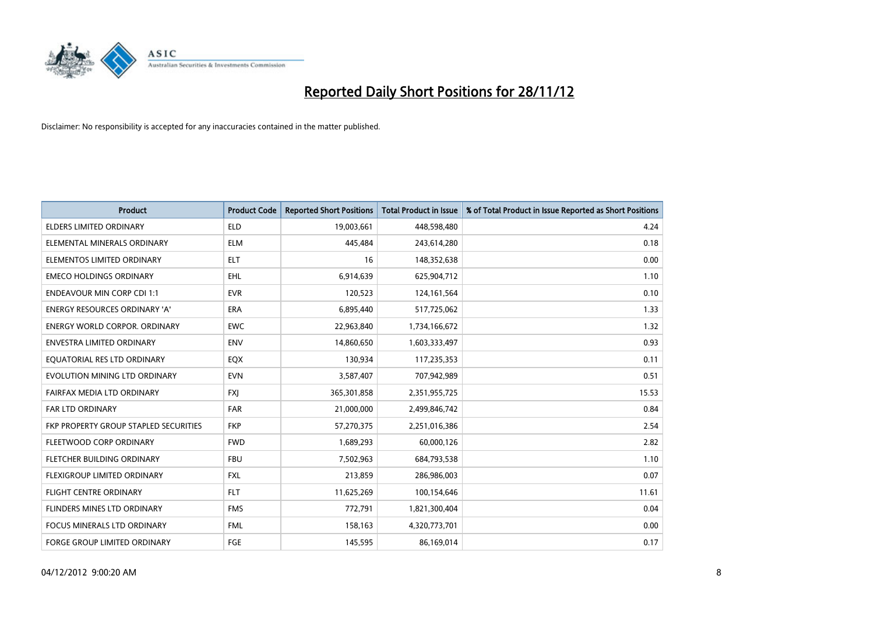

| <b>Product</b>                        | <b>Product Code</b> | <b>Reported Short Positions</b> | <b>Total Product in Issue</b> | % of Total Product in Issue Reported as Short Positions |
|---------------------------------------|---------------------|---------------------------------|-------------------------------|---------------------------------------------------------|
| <b>ELDERS LIMITED ORDINARY</b>        | <b>ELD</b>          | 19,003,661                      | 448,598,480                   | 4.24                                                    |
| ELEMENTAL MINERALS ORDINARY           | <b>ELM</b>          | 445,484                         | 243,614,280                   | 0.18                                                    |
| ELEMENTOS LIMITED ORDINARY            | <b>ELT</b>          | 16                              | 148,352,638                   | 0.00                                                    |
| <b>EMECO HOLDINGS ORDINARY</b>        | <b>EHL</b>          | 6,914,639                       | 625,904,712                   | 1.10                                                    |
| <b>ENDEAVOUR MIN CORP CDI 1:1</b>     | <b>EVR</b>          | 120,523                         | 124, 161, 564                 | 0.10                                                    |
| <b>ENERGY RESOURCES ORDINARY 'A'</b>  | <b>ERA</b>          | 6,895,440                       | 517,725,062                   | 1.33                                                    |
| ENERGY WORLD CORPOR, ORDINARY         | <b>EWC</b>          | 22,963,840                      | 1,734,166,672                 | 1.32                                                    |
| ENVESTRA LIMITED ORDINARY             | <b>ENV</b>          | 14,860,650                      | 1,603,333,497                 | 0.93                                                    |
| EQUATORIAL RES LTD ORDINARY           | <b>EQX</b>          | 130,934                         | 117,235,353                   | 0.11                                                    |
| EVOLUTION MINING LTD ORDINARY         | <b>EVN</b>          | 3,587,407                       | 707,942,989                   | 0.51                                                    |
| FAIRFAX MEDIA LTD ORDINARY            | <b>FXI</b>          | 365,301,858                     | 2,351,955,725                 | 15.53                                                   |
| <b>FAR LTD ORDINARY</b>               | <b>FAR</b>          | 21,000,000                      | 2,499,846,742                 | 0.84                                                    |
| FKP PROPERTY GROUP STAPLED SECURITIES | <b>FKP</b>          | 57,270,375                      | 2,251,016,386                 | 2.54                                                    |
| FLEETWOOD CORP ORDINARY               | <b>FWD</b>          | 1,689,293                       | 60,000,126                    | 2.82                                                    |
| FLETCHER BUILDING ORDINARY            | <b>FBU</b>          | 7,502,963                       | 684,793,538                   | 1.10                                                    |
| FLEXIGROUP LIMITED ORDINARY           | <b>FXL</b>          | 213,859                         | 286,986,003                   | 0.07                                                    |
| FLIGHT CENTRE ORDINARY                | <b>FLT</b>          | 11,625,269                      | 100,154,646                   | 11.61                                                   |
| FLINDERS MINES LTD ORDINARY           | <b>FMS</b>          | 772,791                         | 1,821,300,404                 | 0.04                                                    |
| <b>FOCUS MINERALS LTD ORDINARY</b>    | <b>FML</b>          | 158,163                         | 4,320,773,701                 | 0.00                                                    |
| FORGE GROUP LIMITED ORDINARY          | FGE                 | 145,595                         | 86,169,014                    | 0.17                                                    |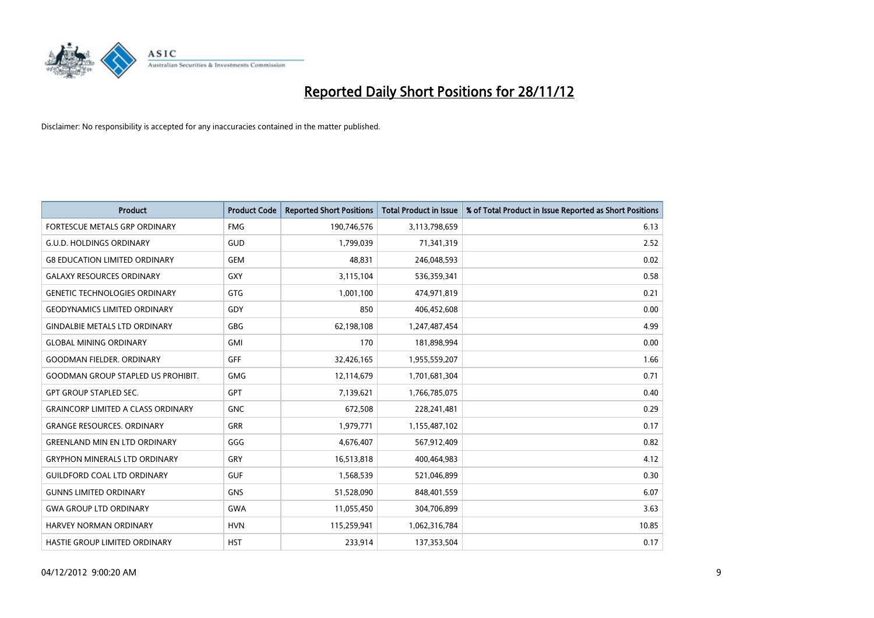

| <b>Product</b>                            | <b>Product Code</b> | <b>Reported Short Positions</b> | <b>Total Product in Issue</b> | % of Total Product in Issue Reported as Short Positions |
|-------------------------------------------|---------------------|---------------------------------|-------------------------------|---------------------------------------------------------|
| <b>FORTESCUE METALS GRP ORDINARY</b>      | <b>FMG</b>          | 190,746,576                     | 3,113,798,659                 | 6.13                                                    |
| <b>G.U.D. HOLDINGS ORDINARY</b>           | GUD                 | 1,799,039                       | 71,341,319                    | 2.52                                                    |
| <b>G8 EDUCATION LIMITED ORDINARY</b>      | <b>GEM</b>          | 48,831                          | 246,048,593                   | 0.02                                                    |
| <b>GALAXY RESOURCES ORDINARY</b>          | <b>GXY</b>          | 3,115,104                       | 536,359,341                   | 0.58                                                    |
| <b>GENETIC TECHNOLOGIES ORDINARY</b>      | <b>GTG</b>          | 1,001,100                       | 474,971,819                   | 0.21                                                    |
| <b>GEODYNAMICS LIMITED ORDINARY</b>       | GDY                 | 850                             | 406,452,608                   | 0.00                                                    |
| <b>GINDALBIE METALS LTD ORDINARY</b>      | <b>GBG</b>          | 62,198,108                      | 1,247,487,454                 | 4.99                                                    |
| <b>GLOBAL MINING ORDINARY</b>             | <b>GMI</b>          | 170                             | 181,898,994                   | 0.00                                                    |
| <b>GOODMAN FIELDER, ORDINARY</b>          | <b>GFF</b>          | 32,426,165                      | 1,955,559,207                 | 1.66                                                    |
| <b>GOODMAN GROUP STAPLED US PROHIBIT.</b> | <b>GMG</b>          | 12,114,679                      | 1,701,681,304                 | 0.71                                                    |
| <b>GPT GROUP STAPLED SEC.</b>             | <b>GPT</b>          | 7,139,621                       | 1,766,785,075                 | 0.40                                                    |
| <b>GRAINCORP LIMITED A CLASS ORDINARY</b> | <b>GNC</b>          | 672,508                         | 228,241,481                   | 0.29                                                    |
| <b>GRANGE RESOURCES, ORDINARY</b>         | <b>GRR</b>          | 1,979,771                       | 1,155,487,102                 | 0.17                                                    |
| <b>GREENLAND MIN EN LTD ORDINARY</b>      | GGG                 | 4,676,407                       | 567,912,409                   | 0.82                                                    |
| <b>GRYPHON MINERALS LTD ORDINARY</b>      | GRY                 | 16,513,818                      | 400,464,983                   | 4.12                                                    |
| <b>GUILDFORD COAL LTD ORDINARY</b>        | <b>GUF</b>          | 1,568,539                       | 521,046,899                   | 0.30                                                    |
| <b>GUNNS LIMITED ORDINARY</b>             | <b>GNS</b>          | 51,528,090                      | 848,401,559                   | 6.07                                                    |
| <b>GWA GROUP LTD ORDINARY</b>             | <b>GWA</b>          | 11,055,450                      | 304,706,899                   | 3.63                                                    |
| HARVEY NORMAN ORDINARY                    | <b>HVN</b>          | 115,259,941                     | 1,062,316,784                 | 10.85                                                   |
| <b>HASTIE GROUP LIMITED ORDINARY</b>      | <b>HST</b>          | 233.914                         | 137,353,504                   | 0.17                                                    |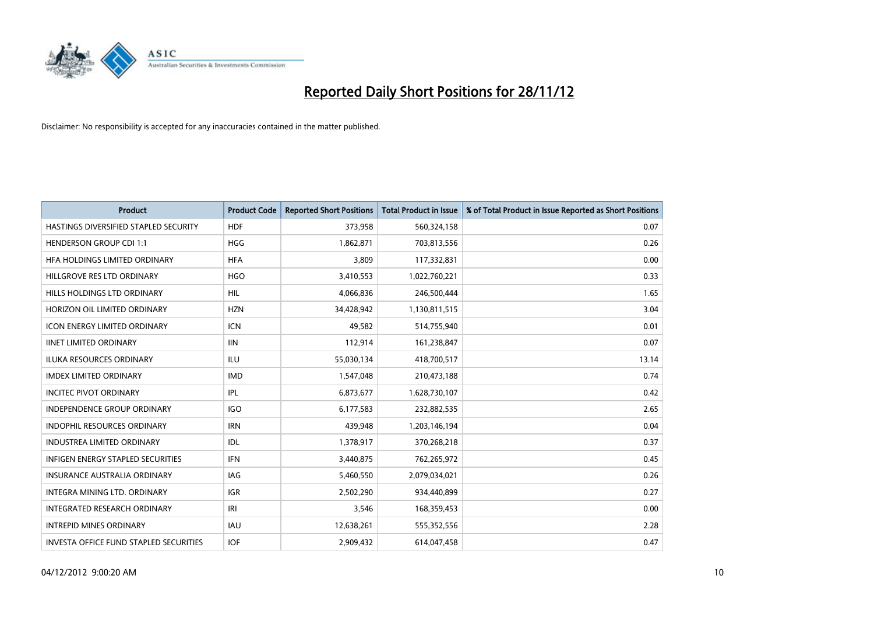

| <b>Product</b>                                | <b>Product Code</b> | <b>Reported Short Positions</b> | <b>Total Product in Issue</b> | % of Total Product in Issue Reported as Short Positions |
|-----------------------------------------------|---------------------|---------------------------------|-------------------------------|---------------------------------------------------------|
| HASTINGS DIVERSIFIED STAPLED SECURITY         | <b>HDF</b>          | 373,958                         | 560,324,158                   | 0.07                                                    |
| <b>HENDERSON GROUP CDI 1:1</b>                | <b>HGG</b>          | 1,862,871                       | 703,813,556                   | 0.26                                                    |
| HFA HOLDINGS LIMITED ORDINARY                 | <b>HFA</b>          | 3,809                           | 117,332,831                   | 0.00                                                    |
| HILLGROVE RES LTD ORDINARY                    | <b>HGO</b>          | 3,410,553                       | 1,022,760,221                 | 0.33                                                    |
| HILLS HOLDINGS LTD ORDINARY                   | HIL                 | 4,066,836                       | 246,500,444                   | 1.65                                                    |
| HORIZON OIL LIMITED ORDINARY                  | <b>HZN</b>          | 34,428,942                      | 1,130,811,515                 | 3.04                                                    |
| <b>ICON ENERGY LIMITED ORDINARY</b>           | <b>ICN</b>          | 49.582                          | 514,755,940                   | 0.01                                                    |
| <b>IINET LIMITED ORDINARY</b>                 | <b>IIN</b>          | 112,914                         | 161,238,847                   | 0.07                                                    |
| <b>ILUKA RESOURCES ORDINARY</b>               | ILU                 | 55,030,134                      | 418,700,517                   | 13.14                                                   |
| <b>IMDEX LIMITED ORDINARY</b>                 | <b>IMD</b>          | 1,547,048                       | 210,473,188                   | 0.74                                                    |
| <b>INCITEC PIVOT ORDINARY</b>                 | IPL                 | 6,873,677                       | 1,628,730,107                 | 0.42                                                    |
| <b>INDEPENDENCE GROUP ORDINARY</b>            | <b>IGO</b>          | 6,177,583                       | 232,882,535                   | 2.65                                                    |
| INDOPHIL RESOURCES ORDINARY                   | <b>IRN</b>          | 439,948                         | 1,203,146,194                 | 0.04                                                    |
| <b>INDUSTREA LIMITED ORDINARY</b>             | IDL                 | 1,378,917                       | 370,268,218                   | 0.37                                                    |
| <b>INFIGEN ENERGY STAPLED SECURITIES</b>      | <b>IFN</b>          | 3,440,875                       | 762,265,972                   | 0.45                                                    |
| <b>INSURANCE AUSTRALIA ORDINARY</b>           | IAG                 | 5,460,550                       | 2,079,034,021                 | 0.26                                                    |
| <b>INTEGRA MINING LTD, ORDINARY</b>           | <b>IGR</b>          | 2,502,290                       | 934,440,899                   | 0.27                                                    |
| <b>INTEGRATED RESEARCH ORDINARY</b>           | IRI                 | 3,546                           | 168,359,453                   | 0.00                                                    |
| <b>INTREPID MINES ORDINARY</b>                | <b>IAU</b>          | 12,638,261                      | 555,352,556                   | 2.28                                                    |
| <b>INVESTA OFFICE FUND STAPLED SECURITIES</b> | <b>IOF</b>          | 2,909,432                       | 614,047,458                   | 0.47                                                    |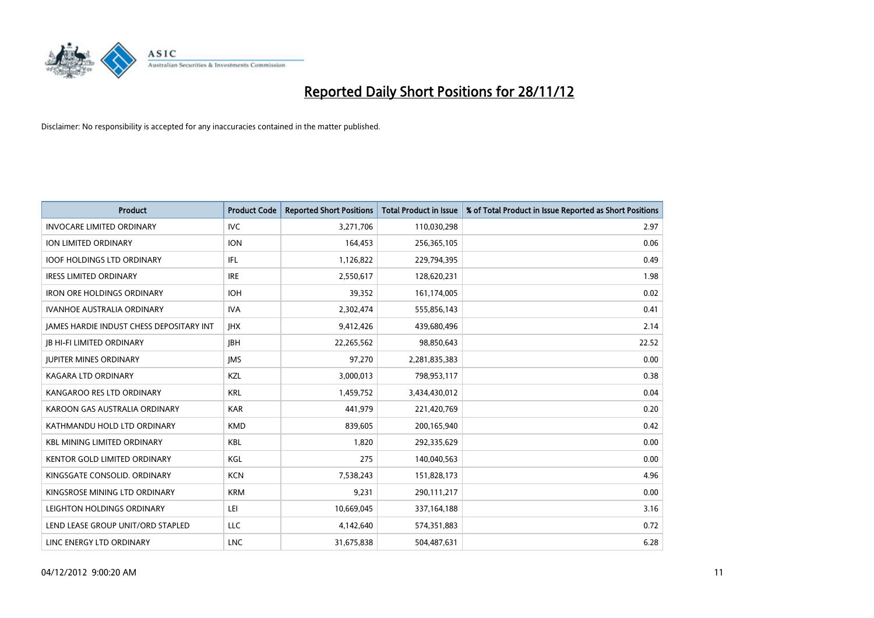

| <b>Product</b>                                  | <b>Product Code</b> | <b>Reported Short Positions</b> | <b>Total Product in Issue</b> | % of Total Product in Issue Reported as Short Positions |
|-------------------------------------------------|---------------------|---------------------------------|-------------------------------|---------------------------------------------------------|
| <b>INVOCARE LIMITED ORDINARY</b>                | IVC                 | 3,271,706                       | 110,030,298                   | 2.97                                                    |
| ION LIMITED ORDINARY                            | <b>ION</b>          | 164,453                         | 256,365,105                   | 0.06                                                    |
| <b>IOOF HOLDINGS LTD ORDINARY</b>               | IFL                 | 1,126,822                       | 229,794,395                   | 0.49                                                    |
| <b>IRESS LIMITED ORDINARY</b>                   | <b>IRE</b>          | 2,550,617                       | 128,620,231                   | 1.98                                                    |
| <b>IRON ORE HOLDINGS ORDINARY</b>               | <b>IOH</b>          | 39,352                          | 161,174,005                   | 0.02                                                    |
| <b>IVANHOE AUSTRALIA ORDINARY</b>               | <b>IVA</b>          | 2,302,474                       | 555,856,143                   | 0.41                                                    |
| <b>IAMES HARDIE INDUST CHESS DEPOSITARY INT</b> | <b>IHX</b>          | 9,412,426                       | 439,680,496                   | 2.14                                                    |
| <b>IB HI-FI LIMITED ORDINARY</b>                | <b>IBH</b>          | 22,265,562                      | 98,850,643                    | 22.52                                                   |
| <b>JUPITER MINES ORDINARY</b>                   | <b>IMS</b>          | 97,270                          | 2,281,835,383                 | 0.00                                                    |
| <b>KAGARA LTD ORDINARY</b>                      | <b>KZL</b>          | 3,000,013                       | 798,953,117                   | 0.38                                                    |
| KANGAROO RES LTD ORDINARY                       | <b>KRL</b>          | 1,459,752                       | 3,434,430,012                 | 0.04                                                    |
| KAROON GAS AUSTRALIA ORDINARY                   | <b>KAR</b>          | 441,979                         | 221,420,769                   | 0.20                                                    |
| KATHMANDU HOLD LTD ORDINARY                     | <b>KMD</b>          | 839,605                         | 200,165,940                   | 0.42                                                    |
| <b>KBL MINING LIMITED ORDINARY</b>              | <b>KBL</b>          | 1,820                           | 292,335,629                   | 0.00                                                    |
| <b>KENTOR GOLD LIMITED ORDINARY</b>             | KGL                 | 275                             | 140,040,563                   | 0.00                                                    |
| KINGSGATE CONSOLID. ORDINARY                    | <b>KCN</b>          | 7,538,243                       | 151,828,173                   | 4.96                                                    |
| KINGSROSE MINING LTD ORDINARY                   | <b>KRM</b>          | 9,231                           | 290,111,217                   | 0.00                                                    |
| LEIGHTON HOLDINGS ORDINARY                      | LEI                 | 10,669,045                      | 337, 164, 188                 | 3.16                                                    |
| LEND LEASE GROUP UNIT/ORD STAPLED               | <b>LLC</b>          | 4,142,640                       | 574,351,883                   | 0.72                                                    |
| LINC ENERGY LTD ORDINARY                        | <b>LNC</b>          | 31,675,838                      | 504,487,631                   | 6.28                                                    |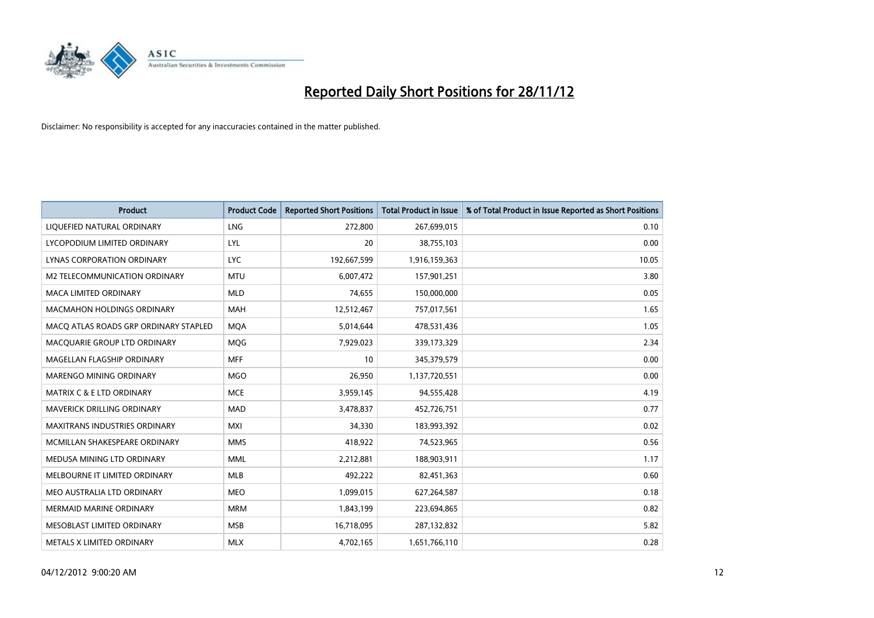

| <b>Product</b>                        | <b>Product Code</b> | <b>Reported Short Positions</b> | <b>Total Product in Issue</b> | % of Total Product in Issue Reported as Short Positions |
|---------------------------------------|---------------------|---------------------------------|-------------------------------|---------------------------------------------------------|
| LIQUEFIED NATURAL ORDINARY            | <b>LNG</b>          | 272,800                         | 267,699,015                   | 0.10                                                    |
| LYCOPODIUM LIMITED ORDINARY           | <b>LYL</b>          | 20                              | 38,755,103                    | 0.00                                                    |
| LYNAS CORPORATION ORDINARY            | <b>LYC</b>          | 192,667,599                     | 1,916,159,363                 | 10.05                                                   |
| M2 TELECOMMUNICATION ORDINARY         | <b>MTU</b>          | 6,007,472                       | 157,901,251                   | 3.80                                                    |
| <b>MACA LIMITED ORDINARY</b>          | <b>MLD</b>          | 74,655                          | 150,000,000                   | 0.05                                                    |
| <b>MACMAHON HOLDINGS ORDINARY</b>     | <b>MAH</b>          | 12,512,467                      | 757,017,561                   | 1.65                                                    |
| MACO ATLAS ROADS GRP ORDINARY STAPLED | <b>MOA</b>          | 5,014,644                       | 478,531,436                   | 1.05                                                    |
| MACQUARIE GROUP LTD ORDINARY          | <b>MOG</b>          | 7,929,023                       | 339,173,329                   | 2.34                                                    |
| MAGELLAN FLAGSHIP ORDINARY            | <b>MFF</b>          | 10                              | 345,379,579                   | 0.00                                                    |
| MARENGO MINING ORDINARY               | <b>MGO</b>          | 26,950                          | 1,137,720,551                 | 0.00                                                    |
| MATRIX C & E LTD ORDINARY             | <b>MCE</b>          | 3,959,145                       | 94,555,428                    | 4.19                                                    |
| <b>MAVERICK DRILLING ORDINARY</b>     | <b>MAD</b>          | 3,478,837                       | 452,726,751                   | 0.77                                                    |
| MAXITRANS INDUSTRIES ORDINARY         | <b>MXI</b>          | 34,330                          | 183,993,392                   | 0.02                                                    |
| MCMILLAN SHAKESPEARE ORDINARY         | <b>MMS</b>          | 418,922                         | 74,523,965                    | 0.56                                                    |
| MEDUSA MINING LTD ORDINARY            | <b>MML</b>          | 2,212,881                       | 188,903,911                   | 1.17                                                    |
| MELBOURNE IT LIMITED ORDINARY         | <b>MLB</b>          | 492,222                         | 82,451,363                    | 0.60                                                    |
| MEO AUSTRALIA LTD ORDINARY            | <b>MEO</b>          | 1,099,015                       | 627,264,587                   | 0.18                                                    |
| <b>MERMAID MARINE ORDINARY</b>        | <b>MRM</b>          | 1,843,199                       | 223,694,865                   | 0.82                                                    |
| MESOBLAST LIMITED ORDINARY            | <b>MSB</b>          | 16,718,095                      | 287,132,832                   | 5.82                                                    |
| METALS X LIMITED ORDINARY             | <b>MLX</b>          | 4,702,165                       | 1,651,766,110                 | 0.28                                                    |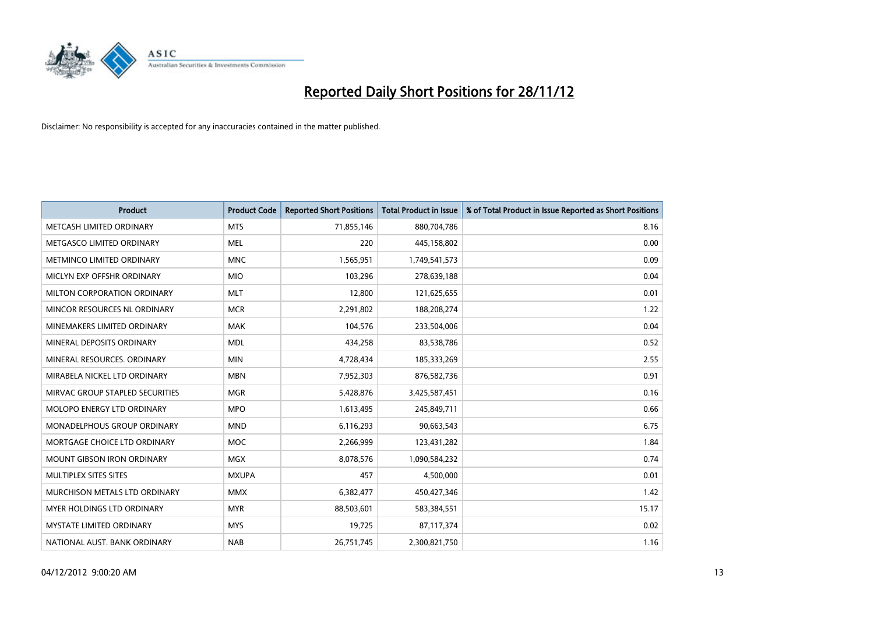

| <b>Product</b>                       | <b>Product Code</b> | <b>Reported Short Positions</b> | <b>Total Product in Issue</b> | % of Total Product in Issue Reported as Short Positions |
|--------------------------------------|---------------------|---------------------------------|-------------------------------|---------------------------------------------------------|
| METCASH LIMITED ORDINARY             | <b>MTS</b>          | 71,855,146                      | 880,704,786                   | 8.16                                                    |
| METGASCO LIMITED ORDINARY            | <b>MEL</b>          | 220                             | 445,158,802                   | 0.00                                                    |
| <b>METMINCO LIMITED ORDINARY</b>     | <b>MNC</b>          | 1,565,951                       | 1,749,541,573                 | 0.09                                                    |
| MICLYN EXP OFFSHR ORDINARY           | <b>MIO</b>          | 103,296                         | 278,639,188                   | 0.04                                                    |
| MILTON CORPORATION ORDINARY          | <b>MLT</b>          | 12,800                          | 121,625,655                   | 0.01                                                    |
| MINCOR RESOURCES NL ORDINARY         | <b>MCR</b>          | 2,291,802                       | 188,208,274                   | 1.22                                                    |
| MINEMAKERS LIMITED ORDINARY          | <b>MAK</b>          | 104,576                         | 233,504,006                   | 0.04                                                    |
| MINERAL DEPOSITS ORDINARY            | <b>MDL</b>          | 434,258                         | 83,538,786                    | 0.52                                                    |
| MINERAL RESOURCES. ORDINARY          | <b>MIN</b>          | 4,728,434                       | 185,333,269                   | 2.55                                                    |
| MIRABELA NICKEL LTD ORDINARY         | <b>MBN</b>          | 7,952,303                       | 876,582,736                   | 0.91                                                    |
| MIRVAC GROUP STAPLED SECURITIES      | <b>MGR</b>          | 5,428,876                       | 3,425,587,451                 | 0.16                                                    |
| <b>MOLOPO ENERGY LTD ORDINARY</b>    | <b>MPO</b>          | 1,613,495                       | 245,849,711                   | 0.66                                                    |
| <b>MONADELPHOUS GROUP ORDINARY</b>   | <b>MND</b>          | 6,116,293                       | 90,663,543                    | 6.75                                                    |
| MORTGAGE CHOICE LTD ORDINARY         | <b>MOC</b>          | 2,266,999                       | 123,431,282                   | 1.84                                                    |
| <b>MOUNT GIBSON IRON ORDINARY</b>    | <b>MGX</b>          | 8,078,576                       | 1,090,584,232                 | 0.74                                                    |
| MULTIPLEX SITES SITES                | <b>MXUPA</b>        | 457                             | 4,500,000                     | 0.01                                                    |
| <b>MURCHISON METALS LTD ORDINARY</b> | <b>MMX</b>          | 6,382,477                       | 450,427,346                   | 1.42                                                    |
| <b>MYER HOLDINGS LTD ORDINARY</b>    | <b>MYR</b>          | 88,503,601                      | 583,384,551                   | 15.17                                                   |
| <b>MYSTATE LIMITED ORDINARY</b>      | <b>MYS</b>          | 19,725                          | 87,117,374                    | 0.02                                                    |
| NATIONAL AUST. BANK ORDINARY         | <b>NAB</b>          | 26,751,745                      | 2,300,821,750                 | 1.16                                                    |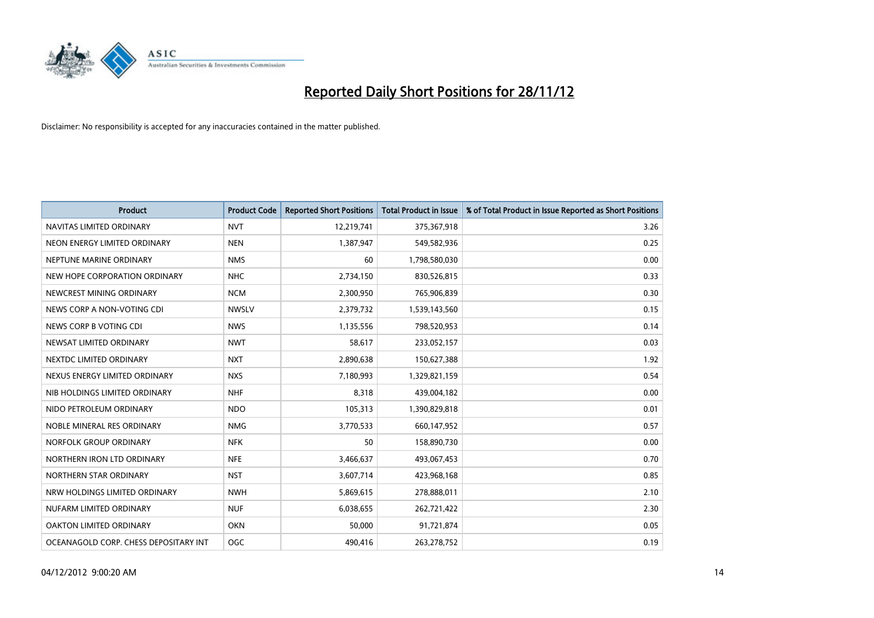

| <b>Product</b>                        | <b>Product Code</b> | <b>Reported Short Positions</b> | <b>Total Product in Issue</b> | % of Total Product in Issue Reported as Short Positions |
|---------------------------------------|---------------------|---------------------------------|-------------------------------|---------------------------------------------------------|
| NAVITAS LIMITED ORDINARY              | <b>NVT</b>          | 12,219,741                      | 375,367,918                   | 3.26                                                    |
| NEON ENERGY LIMITED ORDINARY          | <b>NEN</b>          | 1,387,947                       | 549,582,936                   | 0.25                                                    |
| NEPTUNE MARINE ORDINARY               | <b>NMS</b>          | 60                              | 1,798,580,030                 | 0.00                                                    |
| NEW HOPE CORPORATION ORDINARY         | <b>NHC</b>          | 2,734,150                       | 830,526,815                   | 0.33                                                    |
| NEWCREST MINING ORDINARY              | <b>NCM</b>          | 2,300,950                       | 765,906,839                   | 0.30                                                    |
| NEWS CORP A NON-VOTING CDI            | <b>NWSLV</b>        | 2,379,732                       | 1,539,143,560                 | 0.15                                                    |
| NEWS CORP B VOTING CDI                | <b>NWS</b>          | 1,135,556                       | 798,520,953                   | 0.14                                                    |
| NEWSAT LIMITED ORDINARY               | <b>NWT</b>          | 58,617                          | 233,052,157                   | 0.03                                                    |
| NEXTDC LIMITED ORDINARY               | <b>NXT</b>          | 2,890,638                       | 150,627,388                   | 1.92                                                    |
| NEXUS ENERGY LIMITED ORDINARY         | <b>NXS</b>          | 7,180,993                       | 1,329,821,159                 | 0.54                                                    |
| NIB HOLDINGS LIMITED ORDINARY         | <b>NHF</b>          | 8,318                           | 439,004,182                   | 0.00                                                    |
| NIDO PETROLEUM ORDINARY               | <b>NDO</b>          | 105,313                         | 1,390,829,818                 | 0.01                                                    |
| NOBLE MINERAL RES ORDINARY            | <b>NMG</b>          | 3,770,533                       | 660,147,952                   | 0.57                                                    |
| NORFOLK GROUP ORDINARY                | <b>NFK</b>          | 50                              | 158,890,730                   | 0.00                                                    |
| NORTHERN IRON LTD ORDINARY            | <b>NFE</b>          | 3,466,637                       | 493,067,453                   | 0.70                                                    |
| NORTHERN STAR ORDINARY                | <b>NST</b>          | 3,607,714                       | 423,968,168                   | 0.85                                                    |
| NRW HOLDINGS LIMITED ORDINARY         | <b>NWH</b>          | 5,869,615                       | 278,888,011                   | 2.10                                                    |
| NUFARM LIMITED ORDINARY               | <b>NUF</b>          | 6,038,655                       | 262,721,422                   | 2.30                                                    |
| OAKTON LIMITED ORDINARY               | <b>OKN</b>          | 50,000                          | 91,721,874                    | 0.05                                                    |
| OCEANAGOLD CORP. CHESS DEPOSITARY INT | <b>OGC</b>          | 490.416                         | 263,278,752                   | 0.19                                                    |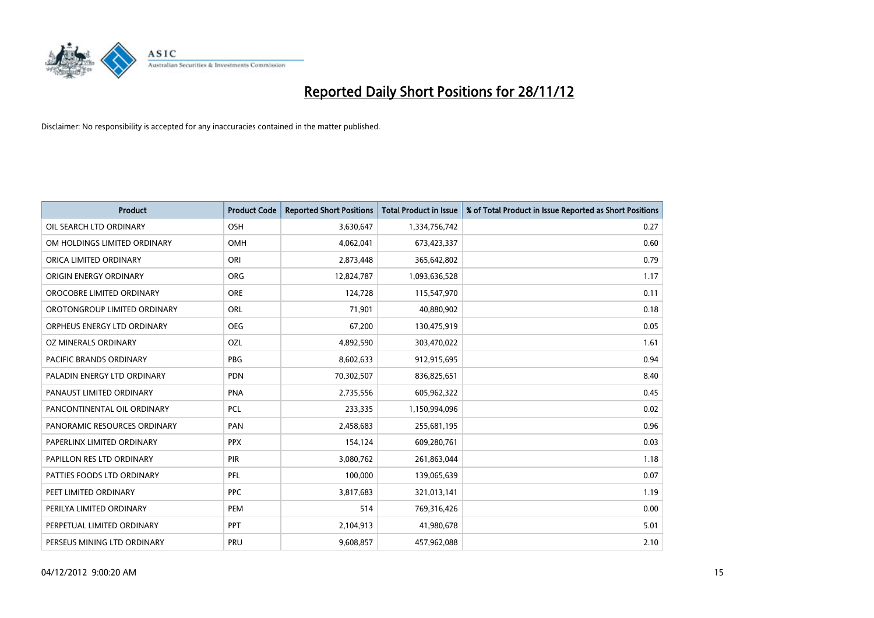

| <b>Product</b>                 | <b>Product Code</b> | <b>Reported Short Positions</b> | <b>Total Product in Issue</b> | % of Total Product in Issue Reported as Short Positions |
|--------------------------------|---------------------|---------------------------------|-------------------------------|---------------------------------------------------------|
| OIL SEARCH LTD ORDINARY        | OSH                 | 3,630,647                       | 1,334,756,742                 | 0.27                                                    |
| OM HOLDINGS LIMITED ORDINARY   | OMH                 | 4,062,041                       | 673,423,337                   | 0.60                                                    |
| ORICA LIMITED ORDINARY         | ORI                 | 2,873,448                       | 365,642,802                   | 0.79                                                    |
| ORIGIN ENERGY ORDINARY         | <b>ORG</b>          | 12,824,787                      | 1,093,636,528                 | 1.17                                                    |
| OROCOBRE LIMITED ORDINARY      | <b>ORE</b>          | 124,728                         | 115,547,970                   | 0.11                                                    |
| OROTONGROUP LIMITED ORDINARY   | ORL                 | 71,901                          | 40,880,902                    | 0.18                                                    |
| ORPHEUS ENERGY LTD ORDINARY    | <b>OEG</b>          | 67,200                          | 130,475,919                   | 0.05                                                    |
| OZ MINERALS ORDINARY           | OZL                 | 4,892,590                       | 303,470,022                   | 1.61                                                    |
| <b>PACIFIC BRANDS ORDINARY</b> | <b>PBG</b>          | 8,602,633                       | 912,915,695                   | 0.94                                                    |
| PALADIN ENERGY LTD ORDINARY    | <b>PDN</b>          | 70,302,507                      | 836,825,651                   | 8.40                                                    |
| PANAUST LIMITED ORDINARY       | <b>PNA</b>          | 2,735,556                       | 605,962,322                   | 0.45                                                    |
| PANCONTINENTAL OIL ORDINARY    | <b>PCL</b>          | 233,335                         | 1,150,994,096                 | 0.02                                                    |
| PANORAMIC RESOURCES ORDINARY   | PAN                 | 2,458,683                       | 255,681,195                   | 0.96                                                    |
| PAPERLINX LIMITED ORDINARY     | <b>PPX</b>          | 154,124                         | 609,280,761                   | 0.03                                                    |
| PAPILLON RES LTD ORDINARY      | PIR                 | 3,080,762                       | 261,863,044                   | 1.18                                                    |
| PATTIES FOODS LTD ORDINARY     | PFL                 | 100,000                         | 139,065,639                   | 0.07                                                    |
| PEET LIMITED ORDINARY          | <b>PPC</b>          | 3,817,683                       | 321,013,141                   | 1.19                                                    |
| PERILYA LIMITED ORDINARY       | PEM                 | 514                             | 769,316,426                   | 0.00                                                    |
| PERPETUAL LIMITED ORDINARY     | <b>PPT</b>          | 2,104,913                       | 41,980,678                    | 5.01                                                    |
| PERSEUS MINING LTD ORDINARY    | PRU                 | 9,608,857                       | 457,962,088                   | 2.10                                                    |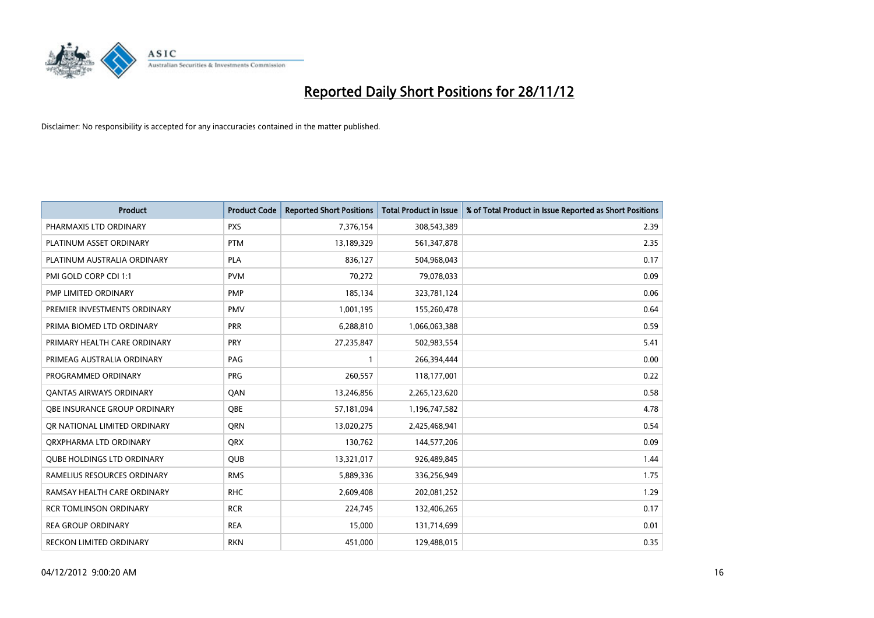

| <b>Product</b>                      | <b>Product Code</b> | <b>Reported Short Positions</b> | <b>Total Product in Issue</b> | % of Total Product in Issue Reported as Short Positions |
|-------------------------------------|---------------------|---------------------------------|-------------------------------|---------------------------------------------------------|
| PHARMAXIS LTD ORDINARY              | <b>PXS</b>          | 7,376,154                       | 308,543,389                   | 2.39                                                    |
| PLATINUM ASSET ORDINARY             | <b>PTM</b>          | 13,189,329                      | 561,347,878                   | 2.35                                                    |
| PLATINUM AUSTRALIA ORDINARY         | <b>PLA</b>          | 836,127                         | 504,968,043                   | 0.17                                                    |
| PMI GOLD CORP CDI 1:1               | <b>PVM</b>          | 70,272                          | 79,078,033                    | 0.09                                                    |
| PMP LIMITED ORDINARY                | <b>PMP</b>          | 185,134                         | 323,781,124                   | 0.06                                                    |
| PREMIER INVESTMENTS ORDINARY        | <b>PMV</b>          | 1,001,195                       | 155,260,478                   | 0.64                                                    |
| PRIMA BIOMED LTD ORDINARY           | <b>PRR</b>          | 6,288,810                       | 1,066,063,388                 | 0.59                                                    |
| PRIMARY HEALTH CARE ORDINARY        | <b>PRY</b>          | 27,235,847                      | 502,983,554                   | 5.41                                                    |
| PRIMEAG AUSTRALIA ORDINARY          | PAG                 |                                 | 266,394,444                   | 0.00                                                    |
| PROGRAMMED ORDINARY                 | <b>PRG</b>          | 260,557                         | 118,177,001                   | 0.22                                                    |
| <b>QANTAS AIRWAYS ORDINARY</b>      | QAN                 | 13,246,856                      | 2,265,123,620                 | 0.58                                                    |
| <b>OBE INSURANCE GROUP ORDINARY</b> | <b>OBE</b>          | 57,181,094                      | 1,196,747,582                 | 4.78                                                    |
| OR NATIONAL LIMITED ORDINARY        | <b>ORN</b>          | 13,020,275                      | 2,425,468,941                 | 0.54                                                    |
| ORXPHARMA LTD ORDINARY              | <b>QRX</b>          | 130,762                         | 144,577,206                   | 0.09                                                    |
| QUBE HOLDINGS LTD ORDINARY          | <b>QUB</b>          | 13,321,017                      | 926,489,845                   | 1.44                                                    |
| RAMELIUS RESOURCES ORDINARY         | <b>RMS</b>          | 5,889,336                       | 336,256,949                   | 1.75                                                    |
| RAMSAY HEALTH CARE ORDINARY         | <b>RHC</b>          | 2,609,408                       | 202,081,252                   | 1.29                                                    |
| <b>RCR TOMLINSON ORDINARY</b>       | <b>RCR</b>          | 224,745                         | 132,406,265                   | 0.17                                                    |
| <b>REA GROUP ORDINARY</b>           | <b>REA</b>          | 15,000                          | 131,714,699                   | 0.01                                                    |
| RECKON LIMITED ORDINARY             | <b>RKN</b>          | 451,000                         | 129,488,015                   | 0.35                                                    |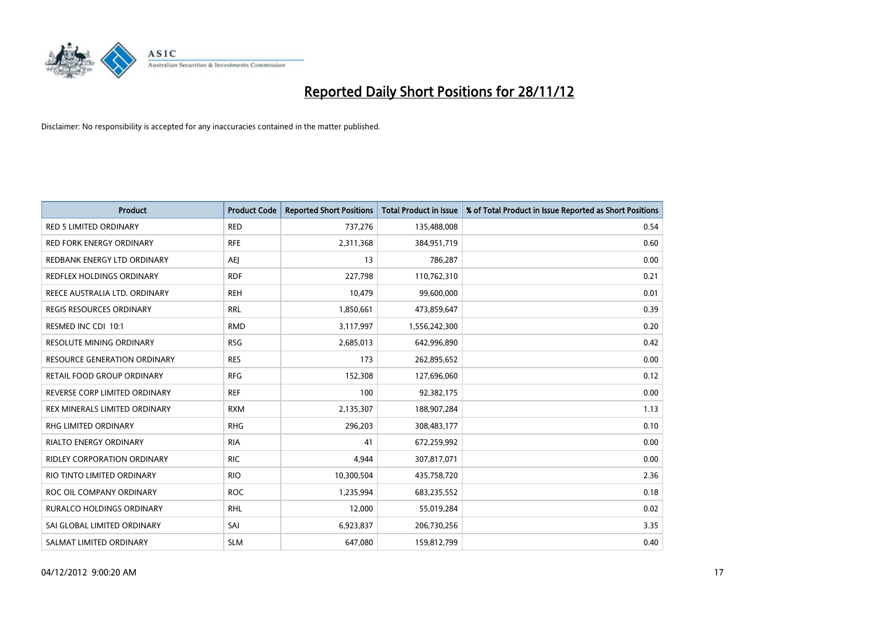

| <b>Product</b>                      | <b>Product Code</b> | <b>Reported Short Positions</b> | <b>Total Product in Issue</b> | % of Total Product in Issue Reported as Short Positions |
|-------------------------------------|---------------------|---------------------------------|-------------------------------|---------------------------------------------------------|
| <b>RED 5 LIMITED ORDINARY</b>       | <b>RED</b>          | 737,276                         | 135,488,008                   | 0.54                                                    |
| <b>RED FORK ENERGY ORDINARY</b>     | <b>RFE</b>          | 2,311,368                       | 384,951,719                   | 0.60                                                    |
| REDBANK ENERGY LTD ORDINARY         | AEJ                 | 13                              | 786,287                       | 0.00                                                    |
| REDFLEX HOLDINGS ORDINARY           | <b>RDF</b>          | 227,798                         | 110,762,310                   | 0.21                                                    |
| REECE AUSTRALIA LTD. ORDINARY       | <b>REH</b>          | 10,479                          | 99,600,000                    | 0.01                                                    |
| <b>REGIS RESOURCES ORDINARY</b>     | <b>RRL</b>          | 1,850,661                       | 473,859,647                   | 0.39                                                    |
| RESMED INC CDI 10:1                 | <b>RMD</b>          | 3,117,997                       | 1,556,242,300                 | 0.20                                                    |
| RESOLUTE MINING ORDINARY            | <b>RSG</b>          | 2,685,013                       | 642,996,890                   | 0.42                                                    |
| <b>RESOURCE GENERATION ORDINARY</b> | <b>RES</b>          | 173                             | 262,895,652                   | 0.00                                                    |
| RETAIL FOOD GROUP ORDINARY          | <b>RFG</b>          | 152,308                         | 127,696,060                   | 0.12                                                    |
| REVERSE CORP LIMITED ORDINARY       | <b>REF</b>          | 100                             | 92,382,175                    | 0.00                                                    |
| REX MINERALS LIMITED ORDINARY       | <b>RXM</b>          | 2,135,307                       | 188,907,284                   | 1.13                                                    |
| RHG LIMITED ORDINARY                | <b>RHG</b>          | 296,203                         | 308,483,177                   | 0.10                                                    |
| RIALTO ENERGY ORDINARY              | <b>RIA</b>          | 41                              | 672,259,992                   | 0.00                                                    |
| <b>RIDLEY CORPORATION ORDINARY</b>  | <b>RIC</b>          | 4.944                           | 307,817,071                   | 0.00                                                    |
| RIO TINTO LIMITED ORDINARY          | <b>RIO</b>          | 10,300,504                      | 435,758,720                   | 2.36                                                    |
| ROC OIL COMPANY ORDINARY            | <b>ROC</b>          | 1,235,994                       | 683,235,552                   | 0.18                                                    |
| RURALCO HOLDINGS ORDINARY           | <b>RHL</b>          | 12,000                          | 55,019,284                    | 0.02                                                    |
| SAI GLOBAL LIMITED ORDINARY         | SAI                 | 6,923,837                       | 206,730,256                   | 3.35                                                    |
| SALMAT LIMITED ORDINARY             | <b>SLM</b>          | 647,080                         | 159,812,799                   | 0.40                                                    |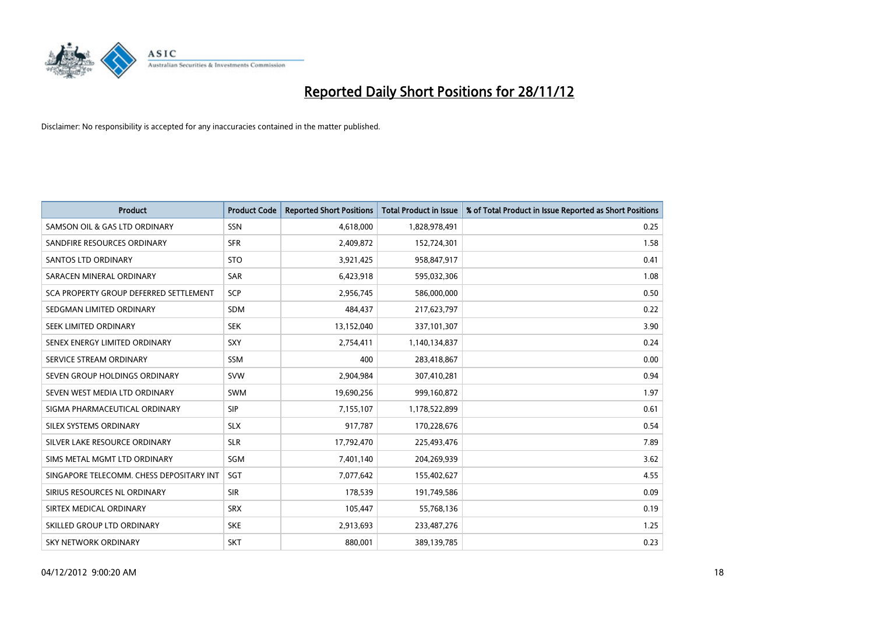

| <b>Product</b>                           | <b>Product Code</b> | <b>Reported Short Positions</b> | <b>Total Product in Issue</b> | % of Total Product in Issue Reported as Short Positions |
|------------------------------------------|---------------------|---------------------------------|-------------------------------|---------------------------------------------------------|
| SAMSON OIL & GAS LTD ORDINARY            | SSN                 | 4,618,000                       | 1,828,978,491                 | 0.25                                                    |
| SANDFIRE RESOURCES ORDINARY              | <b>SFR</b>          | 2,409,872                       | 152,724,301                   | 1.58                                                    |
| <b>SANTOS LTD ORDINARY</b>               | <b>STO</b>          | 3,921,425                       | 958,847,917                   | 0.41                                                    |
| SARACEN MINERAL ORDINARY                 | <b>SAR</b>          | 6,423,918                       | 595,032,306                   | 1.08                                                    |
| SCA PROPERTY GROUP DEFERRED SETTLEMENT   | <b>SCP</b>          | 2,956,745                       | 586,000,000                   | 0.50                                                    |
| SEDGMAN LIMITED ORDINARY                 | <b>SDM</b>          | 484,437                         | 217,623,797                   | 0.22                                                    |
| SEEK LIMITED ORDINARY                    | <b>SEK</b>          | 13,152,040                      | 337,101,307                   | 3.90                                                    |
| SENEX ENERGY LIMITED ORDINARY            | <b>SXY</b>          | 2,754,411                       | 1,140,134,837                 | 0.24                                                    |
| SERVICE STREAM ORDINARY                  | <b>SSM</b>          | 400                             | 283,418,867                   | 0.00                                                    |
| SEVEN GROUP HOLDINGS ORDINARY            | <b>SVW</b>          | 2,904,984                       | 307,410,281                   | 0.94                                                    |
| SEVEN WEST MEDIA LTD ORDINARY            | <b>SWM</b>          | 19,690,256                      | 999,160,872                   | 1.97                                                    |
| SIGMA PHARMACEUTICAL ORDINARY            | <b>SIP</b>          | 7,155,107                       | 1,178,522,899                 | 0.61                                                    |
| SILEX SYSTEMS ORDINARY                   | <b>SLX</b>          | 917,787                         | 170,228,676                   | 0.54                                                    |
| SILVER LAKE RESOURCE ORDINARY            | <b>SLR</b>          | 17,792,470                      | 225,493,476                   | 7.89                                                    |
| SIMS METAL MGMT LTD ORDINARY             | SGM                 | 7,401,140                       | 204,269,939                   | 3.62                                                    |
| SINGAPORE TELECOMM. CHESS DEPOSITARY INT | <b>SGT</b>          | 7,077,642                       | 155,402,627                   | 4.55                                                    |
| SIRIUS RESOURCES NL ORDINARY             | <b>SIR</b>          | 178,539                         | 191,749,586                   | 0.09                                                    |
| SIRTEX MEDICAL ORDINARY                  | <b>SRX</b>          | 105,447                         | 55,768,136                    | 0.19                                                    |
| SKILLED GROUP LTD ORDINARY               | <b>SKE</b>          | 2,913,693                       | 233,487,276                   | 1.25                                                    |
| SKY NETWORK ORDINARY                     | <b>SKT</b>          | 880,001                         | 389,139,785                   | 0.23                                                    |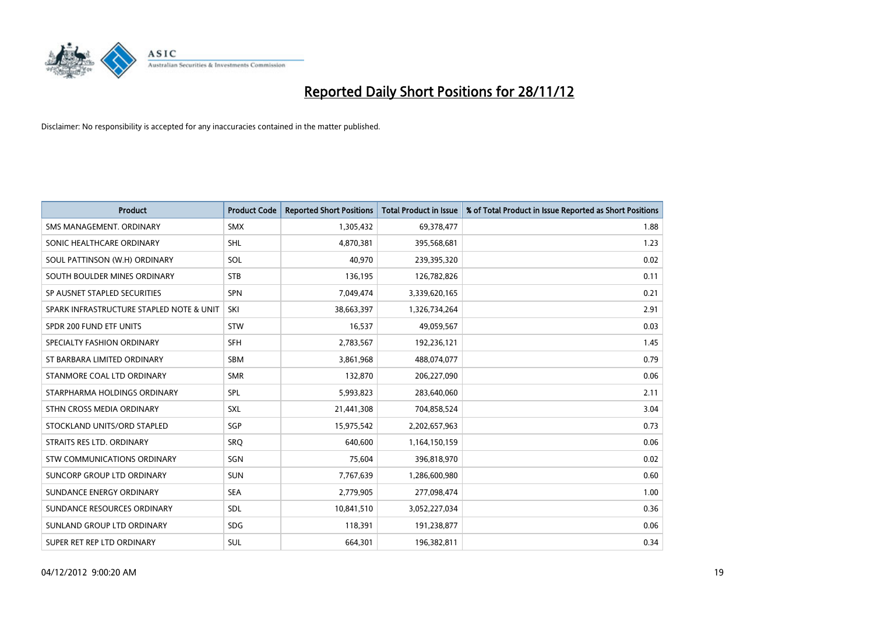

| <b>Product</b>                           | <b>Product Code</b> | <b>Reported Short Positions</b> | <b>Total Product in Issue</b> | % of Total Product in Issue Reported as Short Positions |
|------------------------------------------|---------------------|---------------------------------|-------------------------------|---------------------------------------------------------|
| SMS MANAGEMENT, ORDINARY                 | <b>SMX</b>          | 1,305,432                       | 69,378,477                    | 1.88                                                    |
| SONIC HEALTHCARE ORDINARY                | <b>SHL</b>          | 4,870,381                       | 395,568,681                   | 1.23                                                    |
| SOUL PATTINSON (W.H) ORDINARY            | SOL                 | 40.970                          | 239,395,320                   | 0.02                                                    |
| SOUTH BOULDER MINES ORDINARY             | <b>STB</b>          | 136,195                         | 126,782,826                   | 0.11                                                    |
| SP AUSNET STAPLED SECURITIES             | <b>SPN</b>          | 7,049,474                       | 3,339,620,165                 | 0.21                                                    |
| SPARK INFRASTRUCTURE STAPLED NOTE & UNIT | SKI                 | 38,663,397                      | 1,326,734,264                 | 2.91                                                    |
| SPDR 200 FUND ETF UNITS                  | <b>STW</b>          | 16,537                          | 49,059,567                    | 0.03                                                    |
| SPECIALTY FASHION ORDINARY               | <b>SFH</b>          | 2,783,567                       | 192,236,121                   | 1.45                                                    |
| ST BARBARA LIMITED ORDINARY              | <b>SBM</b>          | 3,861,968                       | 488,074,077                   | 0.79                                                    |
| STANMORE COAL LTD ORDINARY               | <b>SMR</b>          | 132,870                         | 206,227,090                   | 0.06                                                    |
| STARPHARMA HOLDINGS ORDINARY             | SPL                 | 5,993,823                       | 283,640,060                   | 2.11                                                    |
| STHN CROSS MEDIA ORDINARY                | <b>SXL</b>          | 21,441,308                      | 704,858,524                   | 3.04                                                    |
| STOCKLAND UNITS/ORD STAPLED              | SGP                 | 15,975,542                      | 2,202,657,963                 | 0.73                                                    |
| STRAITS RES LTD. ORDINARY                | SRO                 | 640,600                         | 1,164,150,159                 | 0.06                                                    |
| <b>STW COMMUNICATIONS ORDINARY</b>       | SGN                 | 75,604                          | 396,818,970                   | 0.02                                                    |
| SUNCORP GROUP LTD ORDINARY               | <b>SUN</b>          | 7,767,639                       | 1,286,600,980                 | 0.60                                                    |
| SUNDANCE ENERGY ORDINARY                 | <b>SEA</b>          | 2,779,905                       | 277,098,474                   | 1.00                                                    |
| SUNDANCE RESOURCES ORDINARY              | <b>SDL</b>          | 10,841,510                      | 3,052,227,034                 | 0.36                                                    |
| SUNLAND GROUP LTD ORDINARY               | <b>SDG</b>          | 118,391                         | 191,238,877                   | 0.06                                                    |
| SUPER RET REP LTD ORDINARY               | <b>SUL</b>          | 664,301                         | 196,382,811                   | 0.34                                                    |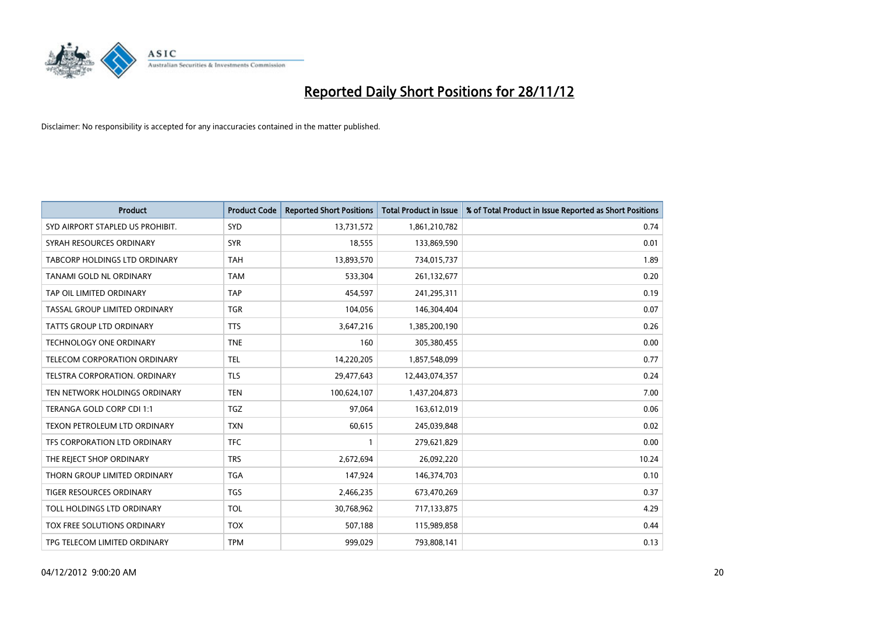

| <b>Product</b>                   | <b>Product Code</b> | <b>Reported Short Positions</b> | <b>Total Product in Issue</b> | % of Total Product in Issue Reported as Short Positions |
|----------------------------------|---------------------|---------------------------------|-------------------------------|---------------------------------------------------------|
| SYD AIRPORT STAPLED US PROHIBIT. | <b>SYD</b>          | 13,731,572                      | 1,861,210,782                 | 0.74                                                    |
| SYRAH RESOURCES ORDINARY         | <b>SYR</b>          | 18,555                          | 133,869,590                   | 0.01                                                    |
| TABCORP HOLDINGS LTD ORDINARY    | <b>TAH</b>          | 13,893,570                      | 734,015,737                   | 1.89                                                    |
| TANAMI GOLD NL ORDINARY          | <b>TAM</b>          | 533,304                         | 261,132,677                   | 0.20                                                    |
| TAP OIL LIMITED ORDINARY         | <b>TAP</b>          | 454,597                         | 241,295,311                   | 0.19                                                    |
| TASSAL GROUP LIMITED ORDINARY    | <b>TGR</b>          | 104,056                         | 146,304,404                   | 0.07                                                    |
| TATTS GROUP LTD ORDINARY         | <b>TTS</b>          | 3,647,216                       | 1,385,200,190                 | 0.26                                                    |
| TECHNOLOGY ONE ORDINARY          | <b>TNE</b>          | 160                             | 305,380,455                   | 0.00                                                    |
| TELECOM CORPORATION ORDINARY     | <b>TEL</b>          | 14,220,205                      | 1,857,548,099                 | 0.77                                                    |
| TELSTRA CORPORATION, ORDINARY    | <b>TLS</b>          | 29,477,643                      | 12,443,074,357                | 0.24                                                    |
| TEN NETWORK HOLDINGS ORDINARY    | <b>TEN</b>          | 100,624,107                     | 1,437,204,873                 | 7.00                                                    |
| TERANGA GOLD CORP CDI 1:1        | <b>TGZ</b>          | 97,064                          | 163,612,019                   | 0.06                                                    |
| TEXON PETROLEUM LTD ORDINARY     | <b>TXN</b>          | 60,615                          | 245,039,848                   | 0.02                                                    |
| TFS CORPORATION LTD ORDINARY     | <b>TFC</b>          |                                 | 279,621,829                   | 0.00                                                    |
| THE REJECT SHOP ORDINARY         | <b>TRS</b>          | 2,672,694                       | 26,092,220                    | 10.24                                                   |
| THORN GROUP LIMITED ORDINARY     | <b>TGA</b>          | 147,924                         | 146,374,703                   | 0.10                                                    |
| TIGER RESOURCES ORDINARY         | <b>TGS</b>          | 2,466,235                       | 673,470,269                   | 0.37                                                    |
| TOLL HOLDINGS LTD ORDINARY       | <b>TOL</b>          | 30,768,962                      | 717,133,875                   | 4.29                                                    |
| TOX FREE SOLUTIONS ORDINARY      | <b>TOX</b>          | 507,188                         | 115,989,858                   | 0.44                                                    |
| TPG TELECOM LIMITED ORDINARY     | <b>TPM</b>          | 999,029                         | 793,808,141                   | 0.13                                                    |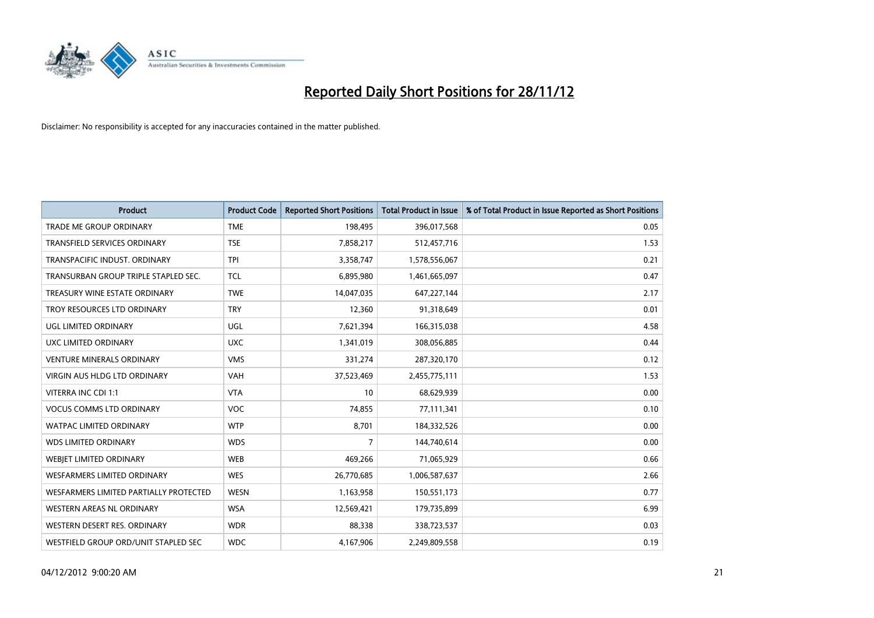

| <b>Product</b>                         | <b>Product Code</b> | <b>Reported Short Positions</b> | <b>Total Product in Issue</b> | % of Total Product in Issue Reported as Short Positions |
|----------------------------------------|---------------------|---------------------------------|-------------------------------|---------------------------------------------------------|
| <b>TRADE ME GROUP ORDINARY</b>         | <b>TME</b>          | 198,495                         | 396,017,568                   | 0.05                                                    |
| TRANSFIELD SERVICES ORDINARY           | <b>TSE</b>          | 7,858,217                       | 512,457,716                   | 1.53                                                    |
| TRANSPACIFIC INDUST, ORDINARY          | <b>TPI</b>          | 3,358,747                       | 1,578,556,067                 | 0.21                                                    |
| TRANSURBAN GROUP TRIPLE STAPLED SEC.   | <b>TCL</b>          | 6,895,980                       | 1,461,665,097                 | 0.47                                                    |
| TREASURY WINE ESTATE ORDINARY          | <b>TWE</b>          | 14,047,035                      | 647,227,144                   | 2.17                                                    |
| TROY RESOURCES LTD ORDINARY            | <b>TRY</b>          | 12,360                          | 91,318,649                    | 0.01                                                    |
| UGL LIMITED ORDINARY                   | UGL                 | 7,621,394                       | 166,315,038                   | 4.58                                                    |
| UXC LIMITED ORDINARY                   | <b>UXC</b>          | 1,341,019                       | 308,056,885                   | 0.44                                                    |
| <b>VENTURE MINERALS ORDINARY</b>       | <b>VMS</b>          | 331,274                         | 287,320,170                   | 0.12                                                    |
| <b>VIRGIN AUS HLDG LTD ORDINARY</b>    | <b>VAH</b>          | 37,523,469                      | 2,455,775,111                 | 1.53                                                    |
| VITERRA INC CDI 1:1                    | <b>VTA</b>          | 10                              | 68,629,939                    | 0.00                                                    |
| <b>VOCUS COMMS LTD ORDINARY</b>        | <b>VOC</b>          | 74,855                          | 77,111,341                    | 0.10                                                    |
| WATPAC LIMITED ORDINARY                | <b>WTP</b>          | 8,701                           | 184,332,526                   | 0.00                                                    |
| <b>WDS LIMITED ORDINARY</b>            | <b>WDS</b>          | 7                               | 144,740,614                   | 0.00                                                    |
| <b>WEBJET LIMITED ORDINARY</b>         | <b>WEB</b>          | 469,266                         | 71,065,929                    | 0.66                                                    |
| WESFARMERS LIMITED ORDINARY            | <b>WES</b>          | 26,770,685                      | 1,006,587,637                 | 2.66                                                    |
| WESFARMERS LIMITED PARTIALLY PROTECTED | <b>WESN</b>         | 1,163,958                       | 150,551,173                   | 0.77                                                    |
| WESTERN AREAS NL ORDINARY              | <b>WSA</b>          | 12,569,421                      | 179,735,899                   | 6.99                                                    |
| WESTERN DESERT RES. ORDINARY           | <b>WDR</b>          | 88,338                          | 338,723,537                   | 0.03                                                    |
| WESTFIELD GROUP ORD/UNIT STAPLED SEC   | <b>WDC</b>          | 4,167,906                       | 2,249,809,558                 | 0.19                                                    |